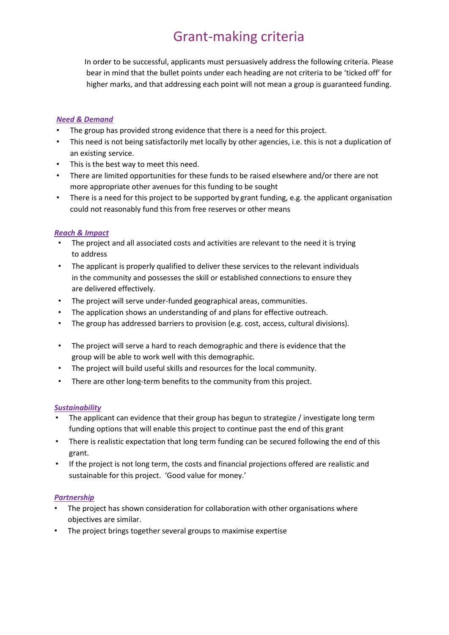## Grant-making criteria

In order to be successful, applicants must persuasively address the following criteria. Please bear in mind that the bullet points under each heading are not criteria to be 'ticked off' for higher marks, and that addressing each point will not mean a group is guaranteed funding.

#### *Need & Demand*

- The group has provided strong evidence that there is a need for this project.
- This need is not being satisfactorily met locally by other agencies, i.e. this is not a duplication of an existing service.
- This is the best way to meet this need.
- There are limited opportunities for these funds to be raised elsewhere and/or there are not more appropriate other avenues for this funding to be sought
- There is a need for this project to be supported by grant funding, e.g. the applicant organisation could not reasonably fund this from free reserves or other means

#### *Reach & Impact*

- The project and all associated costs and activities are relevant to the need it is trying to address
- The applicant is properly qualified to deliver these services to the relevant individuals in the community and possesses the skill or established connections to ensure they are delivered effectively.
- The project will serve under-funded geographical areas, communities.
- The application shows an understanding of and plans for effective outreach.
- The group has addressed barriers to provision (e.g. cost, access, cultural divisions).
- The project will serve a hard to reach demographic and there is evidence that the group will be able to work well with this demographic.
- The project will build useful skills and resources for the local community.
- There are other long-term benefits to the community from this project.

#### *Sustainability*

- The applicant can evidence that their group has begun to strategize / investigate long term funding options that will enable this project to continue past the end of this grant
- There is realistic expectation that long term funding can be secured following the end of this grant.
- If the project is not long term, the costs and financial projections offered are realistic and sustainable for this project. 'Good value for money.'

#### *Partnership*

- The project has shown consideration for collaboration with other organisations where objectives are similar.
- The project brings together several groups to maximise expertise